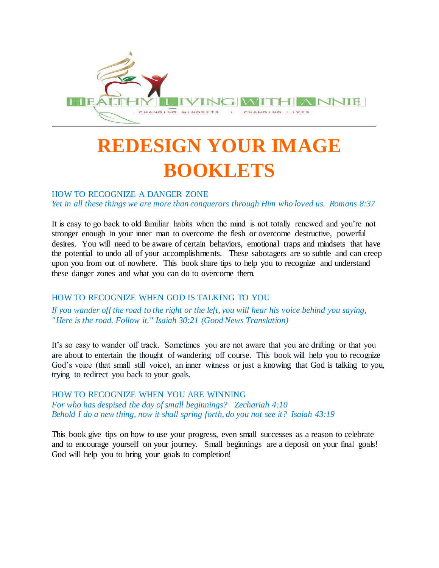

# **REDESIGN YOUR IMAGE BOOKLETS**

## HOW TO RECOGNIZE A DANGER ZONE

*Yet in all these things we are more than conquerors through Him who loved us. Romans 8:37*

It is easy to go back to old familiar habits when the mind is not totally renewed and you're not stronger enough in your inner man to overcome the flesh or overcome destructive, powerful desires. You will need to be aware of certain behaviors, emotional traps and mindsets that have the potential to undo all of your accomplishments. These sabotagers are so subtle and can creep upon you from out of nowhere. This book share tips to help you to recognize and understand these danger zones and what you can do to overcome them.

## HOW TO RECOGNIZE WHEN GOD IS TALKING TO YOU

*If you wander off the road to the right or the left, you will hear his voice behind you saying, "Here is the road. Follow it." Isaiah 30:21 (Good News Translation)*

It's so easy to wander off track. Sometimes you are not aware that you are drifting or that you are about to entertain the thought of wandering off course. This book will help you to recognize God's voice (that small still voice), an inner witness or just a knowing that God is talking to you, trying to redirect you back to your goals.

HOW TO RECOGNIZE WHEN YOU ARE WINNING *For who has despised the day of small beginnings? Zechariah 4:10 Behold I do a new thing, now it shall spring forth, do you not see it? Isaiah 43:19*

This book give tips on how to use your progress, even small successes as a reason to celebrate and to encourage yourself on your journey. Small beginnings are a deposit on your final goals! God will help you to bring your goals to completion!